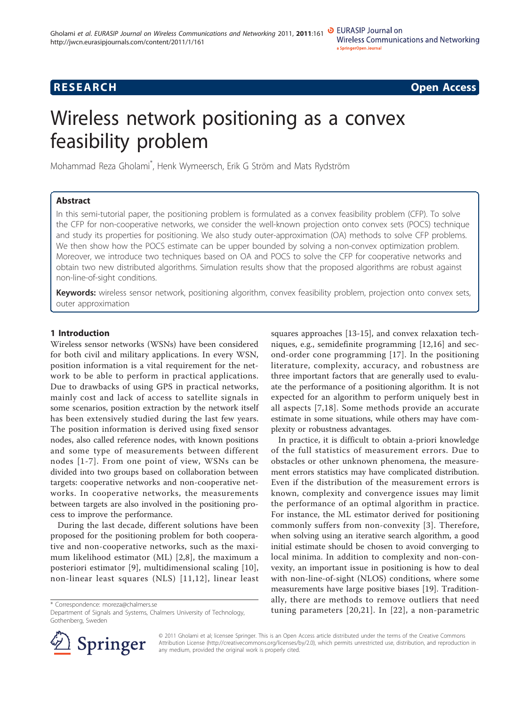**RESEARCH CONSTRUCTION CONSTRUCTS** 

# Wireless network positioning as a convex feasibility problem

Mohammad Reza Gholami\* , Henk Wymeersch, Erik G Ström and Mats Rydström

# Abstract

In this semi-tutorial paper, the positioning problem is formulated as a convex feasibility problem (CFP). To solve the CFP for non-cooperative networks, we consider the well-known projection onto convex sets (POCS) technique and study its properties for positioning. We also study outer-approximation (OA) methods to solve CFP problems. We then show how the POCS estimate can be upper bounded by solving a non-convex optimization problem. Moreover, we introduce two techniques based on OA and POCS to solve the CFP for cooperative networks and obtain two new distributed algorithms. Simulation results show that the proposed algorithms are robust against non-line-of-sight conditions.

Keywords: wireless sensor network, positioning algorithm, convex feasibility problem, projection onto convex sets, outer approximation

# 1 Introduction

Wireless sensor networks (WSNs) have been considered for both civil and military applications. In every WSN, position information is a vital requirement for the network to be able to perform in practical applications. Due to drawbacks of using GPS in practical networks, mainly cost and lack of access to satellite signals in some scenarios, position extraction by the network itself has been extensively studied during the last few years. The position information is derived using fixed sensor nodes, also called reference nodes, with known positions and some type of measurements between different nodes [[1-7](#page-13-0)]. From one point of view, WSNs can be divided into two groups based on collaboration between targets: cooperative networks and non-cooperative networks. In cooperative networks, the measurements between targets are also involved in the positioning process to improve the performance.

During the last decade, different solutions have been proposed for the positioning problem for both cooperative and non-cooperative networks, such as the maximum likelihood estimator (ML) [[2,8](#page-13-0)], the maximum a posteriori estimator [[9\]](#page-13-0), multidimensional scaling [[10](#page-13-0)], non-linear least squares (NLS) [[11](#page-13-0),[12\]](#page-13-0), linear least

squares approaches [\[13](#page-13-0)-[15\]](#page-13-0), and convex relaxation techniques, e.g., semidefinite programming [[12,16\]](#page-13-0) and second-order cone programming [[17](#page-13-0)]. In the positioning literature, complexity, accuracy, and robustness are three important factors that are generally used to evaluate the performance of a positioning algorithm. It is not expected for an algorithm to perform uniquely best in all aspects [[7,18\]](#page-13-0). Some methods provide an accurate estimate in some situations, while others may have complexity or robustness advantages.

In practice, it is difficult to obtain a-priori knowledge of the full statistics of measurement errors. Due to obstacles or other unknown phenomena, the measurement errors statistics may have complicated distribution. Even if the distribution of the measurement errors is known, complexity and convergence issues may limit the performance of an optimal algorithm in practice. For instance, the ML estimator derived for positioning commonly suffers from non-convexity [[3](#page-13-0)]. Therefore, when solving using an iterative search algorithm, a good initial estimate should be chosen to avoid converging to local minima. In addition to complexity and non-convexity, an important issue in positioning is how to deal with non-line-of-sight (NLOS) conditions, where some measurements have large positive biases [[19\]](#page-13-0). Traditionally, there are methods to remove outliers that need \* Correspondence: [moreza@chalmers.se](mailto:moreza@chalmers.se) and Systems. Chalmers University of Technology.<br>Department of Signals and Systems. Chalmers University of Technology. **Ultimary parameters [[20](#page-13-0),[21](#page-13-0)]. In [[22\]](#page-13-0), a non-parametric** 



© 2011 Gholami et al; licensee Springer. This is an Open Access article distributed under the terms of the Creative Commons Attribution License [\(http://creativecommons.org/licenses/by/2.0](http://creativecommons.org/licenses/by/2.0)), which permits unrestricted use, distribution, and reproduction in any medium, provided the original work is properly cited.

Department of Signals and Systems, Chalmers University of Technology, Gothenberg, Sweden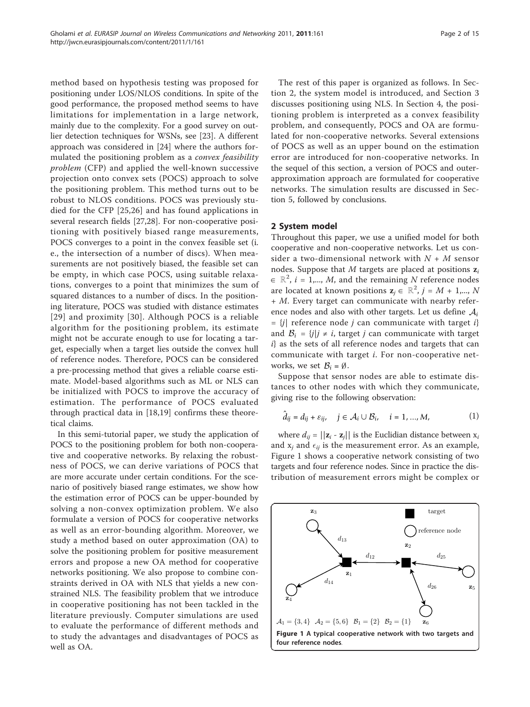method based on hypothesis testing was proposed for positioning under LOS/NLOS conditions. In spite of the good performance, the proposed method seems to have limitations for implementation in a large network, mainly due to the complexity. For a good survey on outlier detection techniques for WSNs, see [\[23](#page-13-0)]. A different approach was considered in [\[24](#page-13-0)] where the authors formulated the positioning problem as a convex feasibility problem (CFP) and applied the well-known successive projection onto convex sets (POCS) approach to solve the positioning problem. This method turns out to be robust to NLOS conditions. POCS was previously studied for the CFP [[25,26](#page-13-0)] and has found applications in several research fields [[27,28\]](#page-13-0). For non-cooperative positioning with positively biased range measurements, POCS converges to a point in the convex feasible set (i. e., the intersection of a number of discs). When measurements are not positively biased, the feasible set can be empty, in which case POCS, using suitable relaxations, converges to a point that minimizes the sum of squared distances to a number of discs. In the positioning literature, POCS was studied with distance estimates [[29\]](#page-13-0) and proximity [\[30\]](#page-13-0). Although POCS is a reliable algorithm for the positioning problem, its estimate might not be accurate enough to use for locating a target, especially when a target lies outside the convex hull of reference nodes. Therefore, POCS can be considered a pre-processing method that gives a reliable coarse estimate. Model-based algorithms such as ML or NLS can be initialized with POCS to improve the accuracy of estimation. The performance of POCS evaluated through practical data in [\[18,19](#page-13-0)] confirms these theoretical claims.

In this semi-tutorial paper, we study the application of POCS to the positioning problem for both non-cooperative and cooperative networks. By relaxing the robustness of POCS, we can derive variations of POCS that are more accurate under certain conditions. For the scenario of positively biased range estimates, we show how the estimation error of POCS can be upper-bounded by solving a non-convex optimization problem. We also formulate a version of POCS for cooperative networks as well as an error-bounding algorithm. Moreover, we study a method based on outer approximation (OA) to solve the positioning problem for positive measurement errors and propose a new OA method for cooperative networks positioning. We also propose to combine constraints derived in OA with NLS that yields a new constrained NLS. The feasibility problem that we introduce in cooperative positioning has not been tackled in the literature previously. Computer simulations are used to evaluate the performance of different methods and to study the advantages and disadvantages of POCS as well as OA.

The rest of this paper is organized as follows. In Section 2, the system model is introduced, and Section 3 discusses positioning using NLS. In Section 4, the positioning problem is interpreted as a convex feasibility problem, and consequently, POCS and OA are formulated for non-cooperative networks. Several extensions of POCS as well as an upper bound on the estimation error are introduced for non-cooperative networks. In the sequel of this section, a version of POCS and outerapproximation approach are formulated for cooperative networks. The simulation results are discussed in Section 5, followed by conclusions.

# 2 System model

Throughout this paper, we use a unified model for both cooperative and non-cooperative networks. Let us consider a two-dimensional network with  $N + M$  sensor nodes. Suppose that M targets are placed at positions  $z_i$  $\in \mathbb{R}^2$ ,  $i = 1,..., M$ , and the remaining N reference nodes<br>are located at known positions  $z_i \in \mathbb{R}^2$ ,  $i = M + 1$ are located at known positions  $z_j \in \mathbb{R}^2$ ,  $j = M + 1,..., N$ <br>+ M Every target can communicate with nearby refer-+ M. Every target can communicate with nearby reference nodes and also with other targets. Let us define *A<sup>i</sup>*  $= \{j \}$  reference node *j* can communicate with target *i*} and  $B_i = \{j | j \neq i\}$ , target j can communicate with target i} as the sets of all reference nodes and targets that can communicate with target i. For non-cooperative networks, we set  $B_i = \emptyset$ .

Suppose that sensor nodes are able to estimate distances to other nodes with which they communicate, giving rise to the following observation:

$$
d_{ij} = d_{ij} + \varepsilon_{ij}, \quad j \in \mathcal{A}_i \cup \mathcal{B}_i, \quad i = 1, ..., M,
$$
 (1)

where  $d_{ij} = ||\mathbf{z}_i - \mathbf{z}_j||$  is the Euclidian distance between  $\mathbf{x}_i$ and  $x_i$  and  $\epsilon_{ij}$  is the measurement error. As an example, Figure 1 shows a cooperative network consisting of two targets and four reference nodes. Since in practice the distribution of measurement errors might be complex or

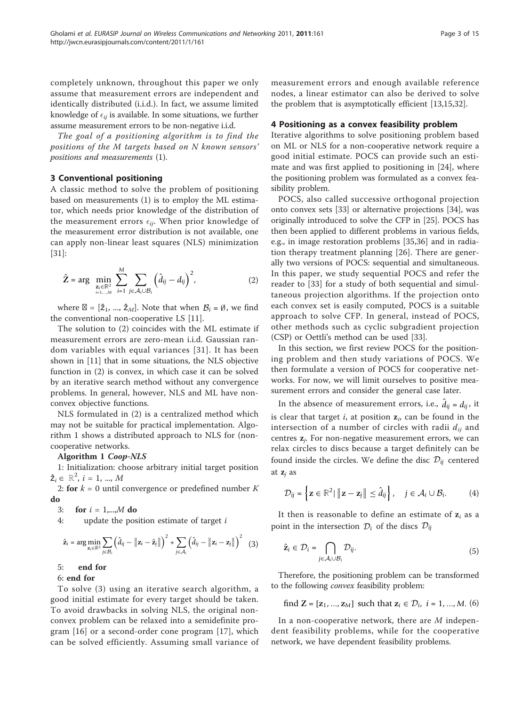completely unknown, throughout this paper we only assume that measurement errors are independent and identically distributed (i.i.d.). In fact, we assume limited knowledge of  $\epsilon_{ij}$  is available. In some situations, we further assume measurement errors to be non-negative i.i.d.

The goal of a positioning algorithm is to find the positions of the M targets based on N known sensors' positions and measurements (1).

# 3 Conventional positioning

A classic method to solve the problem of positioning based on measurements (1) is to employ the ML estimator, which needs prior knowledge of the distribution of the measurement errors  $\epsilon_{ij}$ . When prior knowledge of the measurement error distribution is not available, one can apply non-linear least squares (NLS) minimization [[31\]](#page-13-0):

$$
\hat{\mathbf{Z}} = \arg \ \min_{\substack{\mathbf{z}_i \in \mathbb{R}^2 \\ i=1,\dots,M}} \sum_{i=1}^M \sum_{j \in \mathcal{A}_i \cup \mathcal{B}_i} \left( \hat{d}_{ij} - d_{ij} \right)^2, \tag{2}
$$

where  $\mathbb{Z} = [\hat{\mathsf{z}}_1, ..., \hat{\mathsf{z}}_M]$ . Note that when  $\mathcal{B}_i = \emptyset$ , we find the conventional non-cooperative LS [\[11](#page-13-0)].

The solution to (2) coincides with the ML estimate if measurement errors are zero-mean i.i.d. Gaussian random variables with equal variances [[31](#page-13-0)]. It has been shown in [[11\]](#page-13-0) that in some situations, the NLS objective function in (2) is convex, in which case it can be solved by an iterative search method without any convergence problems. In general, however, NLS and ML have nonconvex objective functions.

NLS formulated in (2) is a centralized method which may not be suitable for practical implementation. Algorithm 1 shows a distributed approach to NLS for (noncooperative networks.

#### Algorithm 1 Coop-NLS

1: Initialization: choose arbitrary initial target position  $\hat{\mathbf{z}}_i \in \mathbb{R}^2$ ,  $i = 1, ..., M$ <br>  $2:$  for  $k = 0$  until

2: for  $k = 0$  until convergence or predefined number K do

3: for  $i = 1,...,M$  do

4: update the position estimate of target  $i$ 

$$
\hat{\mathbf{z}}_i = \arg\min_{\mathbf{z}_i \in \mathbb{R}^2} \sum_{j \in \mathcal{B}_i} \left( \hat{d}_{ij} - \|\mathbf{z}_i - \hat{\mathbf{z}}_j\| \right)^2 + \sum_{j \in \mathcal{A}_i} \left( \hat{d}_{ij} - \|\mathbf{z}_i - \mathbf{z}_j\| \right)^2 \tag{3}
$$

# 5: end for

# 6: end for

To solve (3) using an iterative search algorithm, a good initial estimate for every target should be taken. To avoid drawbacks in solving NLS, the original nonconvex problem can be relaxed into a semidefinite program [[16\]](#page-13-0) or a second-order cone program [[17\]](#page-13-0), which can be solved efficiently. Assuming small variance of measurement errors and enough available reference nodes, a linear estimator can also be derived to solve the problem that is asymptotically efficient [[13,15,32](#page-13-0)].

# 4 Positioning as a convex feasibility problem

Iterative algorithms to solve positioning problem based on ML or NLS for a non-cooperative network require a good initial estimate. POCS can provide such an estimate and was first applied to positioning in [[24\]](#page-13-0), where the positioning problem was formulated as a convex feasibility problem.

POCS, also called successive orthogonal projection onto convex sets [[33\]](#page-13-0) or alternative projections [\[34](#page-13-0)], was originally introduced to solve the CFP in [[25\]](#page-13-0). POCS has then been applied to different problems in various fields, e.g., in image restoration problems [\[35,36](#page-14-0)] and in radiation therapy treatment planning [[26](#page-13-0)]. There are generally two versions of POCS: sequential and simultaneous. In this paper, we study sequential POCS and refer the reader to [\[33](#page-13-0)] for a study of both sequential and simultaneous projection algorithms. If the projection onto each convex set is easily computed, POCS is a suitable approach to solve CFP. In general, instead of POCS, other methods such as cyclic subgradient projection (CSP) or Oettli's method can be used [\[33](#page-13-0)].

In this section, we first review POCS for the positioning problem and then study variations of POCS. We then formulate a version of POCS for cooperative networks. For now, we will limit ourselves to positive measurement errors and consider the general case later.

In the absence of measurement errors, i.e.,  $d_{ij} = d_{ij}$ , it is clear that target i, at position  $z_i$ , can be found in the intersection of a number of circles with radii  $d_{ii}$  and centres  $z_i$ . For non-negative measurement errors, we can relax circles to discs because a target definitely can be found inside the circles. We define the disc  $\mathcal{D}_{ij}$  centered at  $z_i$  as

$$
\mathcal{D}_{ij} = \left\{ \mathbf{z} \in \mathbb{R}^2 \, | \, \|\mathbf{z} - \mathbf{z}_j\| \leq \hat{d}_{ij} \right\}, \quad j \in \mathcal{A}_i \cup \mathcal{B}_i. \tag{4}
$$

It then is reasonable to define an estimate of  $z_i$  as a point in the intersection  $\mathcal{D}_i$  of the discs  $\mathcal{D}_{ij}$ 

$$
\hat{\mathbf{z}}_i \in \mathcal{D}_i = \bigcap_{j \in \mathcal{A}_i \cup \mathcal{B}_i} \mathcal{D}_{ij}.
$$
\n
$$
(5)
$$

Therefore, the positioning problem can be transformed to the following *convex* feasibility problem:

find 
$$
Z = [z_1, ..., z_M]
$$
 such that  $z_i \in \mathcal{D}_i$ ,  $i = 1, ..., M$ . (6)

In a non-cooperative network, there are M independent feasibility problems, while for the cooperative network, we have dependent feasibility problems.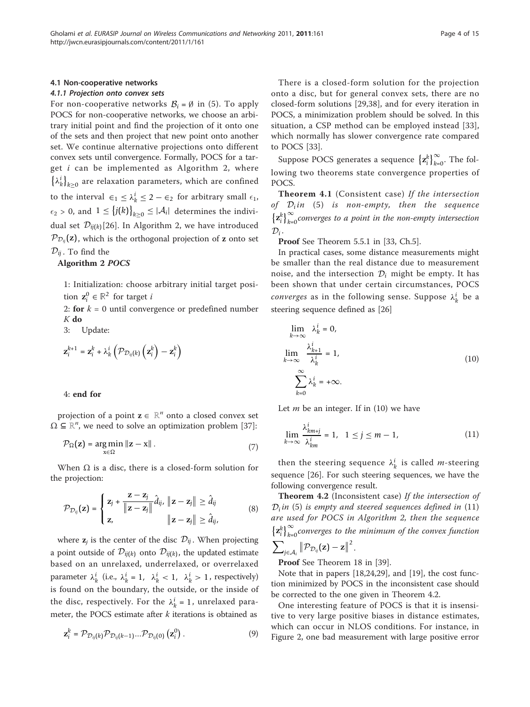#### 4.1 Non-cooperative networks

#### 4.1.1 Projection onto convex sets

For non-cooperative networks  $B_i = \emptyset$  in (5). To apply POCS for non-cooperative networks, we choose an arbitrary initial point and find the projection of it onto one of the sets and then project that new point onto another set. We continue alternative projections onto different convex sets until convergence. Formally, POCS for a target  $i$  can be implemented as Algorithm 2, where  $\{\lambda_k^i\}_{k\geq 0}$  are relaxation parameters, which are confined to the interval  $\epsilon_1 \leq \lambda_k^i \leq 2 - \epsilon_2$  for arbitrary small  $\epsilon_1$ ,  $\epsilon_2 > 0$ , and  $1 \leq \{j(k)\}_{k \geq 0} \leq |\mathcal{A}_i|$  determines the individual set  $\mathcal{D}_{ij(k)}$ [[26\]](#page-13-0). In Algorithm 2, we have introduced  $\mathcal{P}_{\mathcal{D}_{ij}}(\mathbf{z})$ , which is the orthogonal projection of **z** onto set *Dij* . To find the

#### Algorithm 2 POCS

1: Initialization: choose arbitrary initial target position  $z_i^0 \in \mathbb{R}^2$  for target *i* 

2: for  $k = 0$  until convergence or predefined number  $K$  do

3: Update:

$$
\mathbf{z}_{i}^{k+1} = \mathbf{z}_{i}^{k} + \lambda_{k}^{i} \left( \mathcal{P}_{\mathcal{D}_{ij}(k)} \left( \mathbf{z}_{i}^{k} \right) - \mathbf{z}_{i}^{k} \right)
$$

# 4: end for

projection of a point  $z \in \mathbb{R}^n$  onto a closed convex set  $\Omega \subseteq \mathbb{R}^n$ , we need to solve an optimization problem [[37\]](#page-14-0):

$$
\mathcal{P}_{\Omega}(\mathbf{z}) = \underset{\mathbf{x} \in \Omega}{\arg \min} \|\mathbf{z} - \mathbf{x}\| \,. \tag{7}
$$

When  $\Omega$  is a disc, there is a closed-form solution for the projection:

$$
\mathcal{P}_{\mathcal{D}_{ij}}(\mathbf{z}) = \begin{cases} \mathbf{z}_j + \frac{\mathbf{z} - \mathbf{z}_j}{\|\mathbf{z} - \mathbf{z}_j\|} \hat{d}_{ij}, & \|\mathbf{z} - \mathbf{z}_j\| \ge \hat{d}_{ij} \\ \mathbf{z}, & \|\mathbf{z} - \mathbf{z}_j\| \ge \hat{d}_{ij}, \end{cases}
$$
(8)

where  $z_j$  is the center of the disc  $\mathcal{D}_{ij}$ . When projecting a point outside of  $\mathcal{D}_{ij(k)}$  onto  $\mathcal{D}_{ij(k)}$ , the updated estimate based on an unrelaxed, underrelaxed, or overrelaxed parameter  $\lambda_k^i$  (i.e.,  $\lambda_k^i = 1$ ,  $\lambda_k^i < 1$ ,  $\lambda_k^i > 1$ , respectively) is found on the boundary, the outside, or the inside of the disc, respectively. For the  $\lambda_k^i = 1$ , unrelaxed parameter, the POCS estimate after  $k$  iterations is obtained as

$$
\mathbf{z}_i^k = \mathcal{P}_{\mathcal{D}_{ij}(k)} \mathcal{P}_{\mathcal{D}_{ij}(k-1)} ... \mathcal{P}_{\mathcal{D}_{ij}(0)} (\mathbf{z}_i^0).
$$
 (9)

There is a closed-form solution for the projection onto a disc, but for general convex sets, there are no closed-form solutions [[29,](#page-13-0)[38](#page-14-0)], and for every iteration in POCS, a minimization problem should be solved. In this situation, a CSP method can be employed instead [\[33](#page-13-0)], which normally has slower convergence rate compared to POCS [\[33](#page-13-0)].

Suppose POCS generates a sequence  $\left\{ \mathbf{z}_{i}^{k} \right\}_{k=0}^{\infty}$ . The following two theorems state convergence properties of POCS.

Theorem 4.1 (Consistent case) If the intersection of  $D_i$ in (5) is non-empty, then the sequence  $\left\{ \mathbf{z}_i^k \right\}_{k=0}^\infty$  converges to a point in the non-empty intersection  $\mathcal{D}_i$ .

Proof See Theorem 5.5.1 in [33, Ch.5].

In practical cases, some distance measurements might be smaller than the real distance due to measurement noise, and the intersection  $\mathcal{D}_i$  might be empty. It has been shown that under certain circumstances, POCS *converges* as in the following sense. Suppose  $\lambda_k^i$  be a steering sequence defined as [[26\]](#page-13-0)

$$
\lim_{k \to \infty} \frac{\lambda_k^i}{\lambda_k^{i+1}} = 0,
$$
\n
$$
\lim_{k \to \infty} \frac{\lambda_{k+1}^i}{\lambda_k^{i}} = 1,
$$
\n
$$
\sum_{k=0}^{\infty} \lambda_k^i = +\infty.
$$
\n(10)

Let  $m$  be an integer. If in (10) we have

$$
\lim_{k \to \infty} \frac{\lambda_{km+j}^i}{\lambda_{km}^i} = 1, \quad 1 \le j \le m-1,\tag{11}
$$

then the steering sequence  $\lambda_k^i$  is called *m*-steering sequence [[26\]](#page-13-0). For such steering sequences, we have the following convergence result.

Theorem 4.2 (Inconsistent case) If the intersection of  $D_i$ *in* (5) is empty and steered sequences defined in (11) are used for POCS in Algorithm 2, then the sequence  $\left\{ \mathbf{z}_i^k \right\}_{k=0}^{\infty}$  converges to the minimum of the convex function  $\sum$ *j*∈*A<sup>i</sup>*  $\left\|\mathcal{P}_{\mathcal{D}_{ij}}(\mathbf{z})-\mathbf{z}\right\|^2$ .

Proof See Theorem 18 in [[39\]](#page-14-0).

Note that in papers [\[18,24,29](#page-13-0)], and [[19\]](#page-13-0), the cost function minimized by POCS in the inconsistent case should be corrected to the one given in Theorem 4.2.

One interesting feature of POCS is that it is insensitive to very large positive biases in distance estimates, which can occur in NLOS conditions. For instance, in Figure [2,](#page-4-0) one bad measurement with large positive error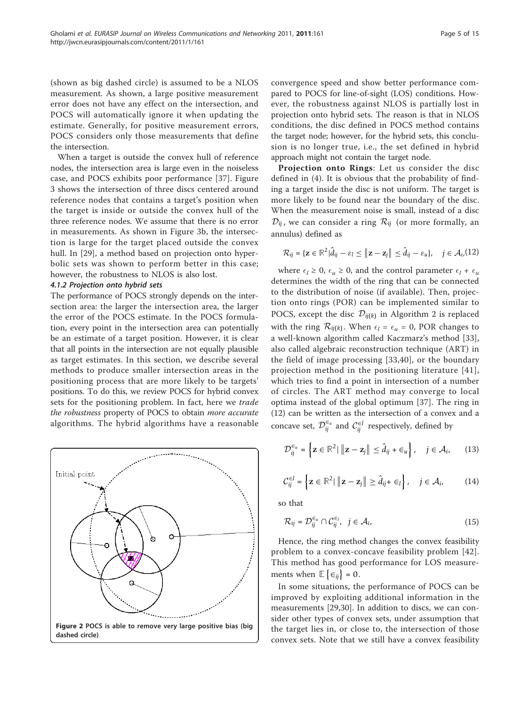<span id="page-4-0"></span>(shown as big dashed circle) is assumed to be a NLOS measurement. As shown, a large positive measurement error does not have any effect on the intersection, and POCS will automatically ignore it when updating the estimate. Generally, for positive measurement errors, POCS considers only those measurements that define the intersection.

When a target is outside the convex hull of reference nodes, the intersection area is large even in the noiseless case, and POCS exhibits poor performance [\[37](#page-14-0)]. Figure [3](#page-5-0) shows the intersection of three discs centered around reference nodes that contains a target's position when the target is inside or outside the convex hull of the three reference nodes. We assume that there is no error in measurements. As shown in Figure [3b,](#page-5-0) the intersection is large for the target placed outside the convex hull. In [[29\]](#page-13-0), a method based on projection onto hyperbolic sets was shown to perform better in this case; however, the robustness to NLOS is also lost.

#### 4.1.2 Projection onto hybrid sets

The performance of POCS strongly depends on the intersection area: the larger the intersection area, the larger the error of the POCS estimate. In the POCS formulation, every point in the intersection area can potentially be an estimate of a target position. However, it is clear that all points in the intersection are not equally plausible as target estimates. In this section, we describe several methods to produce smaller intersection areas in the positioning process that are more likely to be targets' positions. To do this, we review POCS for hybrid convex sets for the positioning problem. In fact, here we *trade* the robustness property of POCS to obtain more accurate algorithms. The hybrid algorithms have a reasonable



convergence speed and show better performance compared to POCS for line-of-sight (LOS) conditions. However, the robustness against NLOS is partially lost in projection onto hybrid sets. The reason is that in NLOS conditions, the disc defined in POCS method contains the target node; however, for the hybrid sets, this conclusion is no longer true, i.e., the set defined in hybrid approach might not contain the target node.

Projection onto Rings: Let us consider the disc defined in (4). It is obvious that the probability of finding a target inside the disc is not uniform. The target is more likely to be found near the boundary of the disc. When the measurement noise is small, instead of a disc  $\mathcal{D}_{ij}$ , we can consider a ring  $\mathcal{R}_{ij}$  (or more formally, an annulus) defined as

$$
\mathcal{R}_{ij} = \{ \mathbf{z} \in \mathbb{R}^2 | \hat{d}_{ij} - \varepsilon_l \leq \| \mathbf{z} - \mathbf{z}_j \| \leq \hat{d}_{ij} - \varepsilon_u \}, \quad j \in \mathcal{A}_i, (12)
$$

where  $\epsilon_l \geq 0$ ,  $\epsilon_u \geq 0$ , and the control parameter  $\epsilon_l + \epsilon_u$ determines the width of the ring that can be connected to the distribution of noise (if available). Then, projection onto rings (POR) can be implemented similar to POCS, except the disc  $\mathcal{D}_{ij(k)}$  in Algorithm 2 is replaced with the ring  $\mathcal{R}_{ij(k)}$ . When  $\epsilon_l = \epsilon_u = 0$ , POR changes to a well-known algorithm called Kaczmarz's method [\[33](#page-13-0)], also called algebraic reconstruction technique (ART) in the field of image processing [[33](#page-13-0)[,40](#page-14-0)], or the boundary projection method in the positioning literature [[41\]](#page-14-0), which tries to find a point in intersection of a number of circles. The ART method may converge to local optima instead of the global optimum [[37\]](#page-14-0). The ring in (12) can be written as the intersection of a convex and a concave set,  $\mathcal{D}_{ij}^{\epsilon_u}$  and  $\mathcal{C}_{ij}^{\epsilon_l}$  respectively, defined by

$$
\mathcal{D}_{ij}^{\epsilon_u} = \left\{ \mathbf{z} \in \mathbb{R}^2 \, | \, \|\mathbf{z} - \mathbf{z}_j\| \leq \hat{d}_{ij} + \epsilon_u \right\}, \quad j \in \mathcal{A}_i, \qquad (13)
$$

$$
\mathcal{C}_{ij}^{\in l} = \left\{ \mathbf{z} \in \mathbb{R}^2 \, | \, \|\mathbf{z} - \mathbf{z}_j\| \ge \hat{d}_{ij} + \epsilon_l \right\}, \quad j \in \mathcal{A}_i, \tag{14}
$$

so that

$$
\mathcal{R}_{ij} = \mathcal{D}_{ij}^{\epsilon_u} \cap \mathcal{C}_{ij}^{\epsilon_l}, \ \ j \in \mathcal{A}_i,\tag{15}
$$

Hence, the ring method changes the convex feasibility problem to a convex-concave feasibility problem [[42](#page-14-0)]. This method has good performance for LOS measurements when  $\mathbb{E}\left\{\epsilon_{ij}\right\} = 0$ .

In some situations, the performance of POCS can be improved by exploiting additional information in the measurements [[29,30\]](#page-13-0). In addition to discs, we can consider other types of convex sets, under assumption that the target lies in, or close to, the intersection of those convex sets. Note that we still have a convex feasibility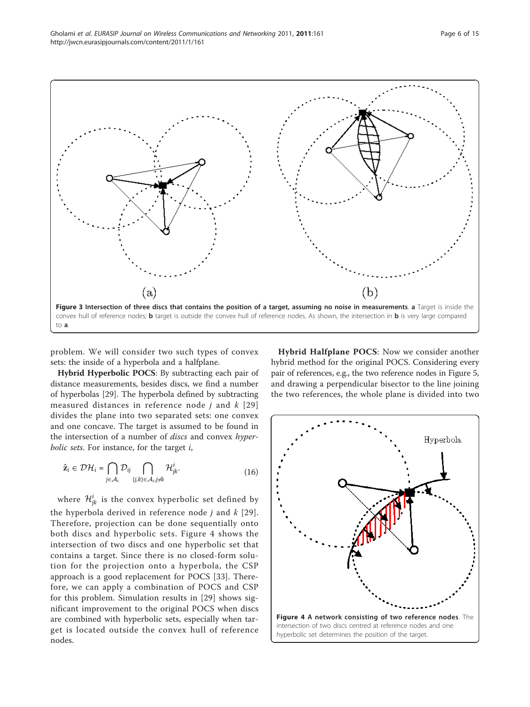<span id="page-5-0"></span>

problem. We will consider two such types of convex sets: the inside of a hyperbola and a halfplane.

Hybrid Hyperbolic POCS: By subtracting each pair of distance measurements, besides discs, we find a number of hyperbolas [\[29\]](#page-13-0). The hyperbola defined by subtracting measured distances in reference node  $j$  and  $k$  [[29](#page-13-0)] divides the plane into two separated sets: one convex and one concave. The target is assumed to be found in the intersection of a number of *discs* and convex *hyper* $bolic sets$ . For instance, for the target  $i$ ,

$$
\hat{\mathbf{z}}_i \in \mathcal{DH}_i = \bigcap_{j \in \mathcal{A}_i} \mathcal{D}_{ij} \bigcap_{\{j,k\} \in \mathcal{A}_i, j \neq k} \mathcal{H}_{jk}^i.
$$
\n(16)

where  $\mathcal{H}_{jk}^{i}$  is the convex hyperbolic set defined by the hyperbola derived in reference node  $j$  and  $k$  [[29\]](#page-13-0). Therefore, projection can be done sequentially onto both discs and hyperbolic sets. Figure 4 shows the intersection of two discs and one hyperbolic set that contains a target. Since there is no closed-form solution for the projection onto a hyperbola, the CSP approach is a good replacement for POCS [[33](#page-13-0)]. Therefore, we can apply a combination of POCS and CSP for this problem. Simulation results in [[29](#page-13-0)] shows significant improvement to the original POCS when discs are combined with hyperbolic sets, especially when target is located outside the convex hull of reference nodes.

Hybrid Halfplane POCS: Now we consider another hybrid method for the original POCS. Considering every pair of references, e.g., the two reference nodes in Figure [5](#page-6-0), and drawing a perpendicular bisector to the line joining the two references, the whole plane is divided into two

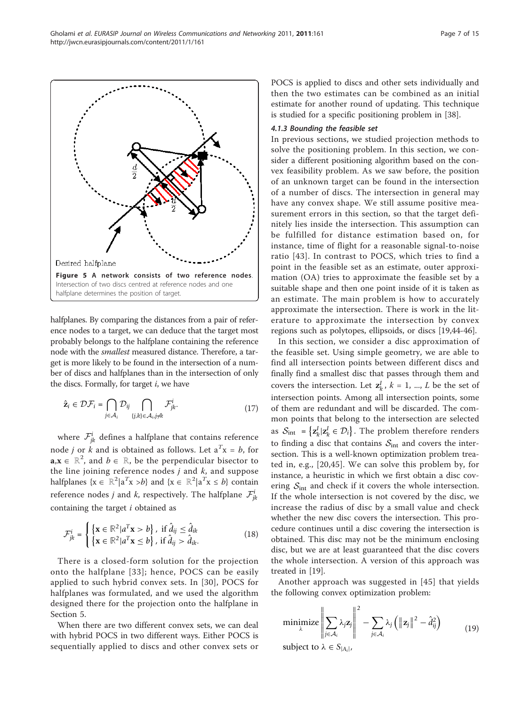<span id="page-6-0"></span>

halfplanes. By comparing the distances from a pair of reference nodes to a target, we can deduce that the target most probably belongs to the halfplane containing the reference node with the smallest measured distance. Therefore, a target is more likely to be found in the intersection of a number of discs and halfplanes than in the intersection of only the discs. Formally, for target  $i$ , we have

$$
\hat{\mathbf{z}}_i \in \mathcal{DF}_i = \bigcap_{j \in \mathcal{A}_i} \mathcal{D}_{ij} \bigcap_{\{j,k\} \in \mathcal{A}_i, j \neq k} \mathcal{F}_{jk}^i.
$$
\n(17)

where  $\mathcal{F}_{jk}^i$  defines a halfplane that contains reference node *j* or *k* and is obtained as follows. Let  $a^T x = b$ , for  $\mathbf{a}, \mathbf{x} \in \mathbb{R}^2$ , and  $b \in \mathbb{R}$ , be the perpendicular bisector to the line ioining reference nodes *i* and *k* and suppose the line joining reference nodes  $j$  and  $k$ , and suppose halfplanes  $\{x \in \mathbb{R}^2 | a^T x > b\}$  and  $\{x \in \mathbb{R}^2 | a^T x \leq b\}$  contain reference nodes *j* and *k*, respectively. The halfplane  $\mathcal{F}^i_{jk}$ containing the target  $i$  obtained as

$$
\mathcal{F}_{jk}^{i} = \begin{cases} \left\{ \mathbf{x} \in \mathbb{R}^{2} | a^{T} \mathbf{x} > b \right\}, & \text{if } \hat{d}_{ij} \leq \hat{d}_{ik} \\ \left\{ \mathbf{x} \in \mathbb{R}^{2} | a^{T} \mathbf{x} \leq b \right\}, & \text{if } \hat{d}_{ij} > \hat{d}_{ik}. \end{cases}
$$
(18)

There is a closed-form solution for the projection onto the halfplane [[33](#page-13-0)]; hence, POCS can be easily applied to such hybrid convex sets. In [[30\]](#page-13-0), POCS for halfplanes was formulated, and we used the algorithm designed there for the projection onto the halfplane in Section 5.

When there are two different convex sets, we can deal with hybrid POCS in two different ways. Either POCS is sequentially applied to discs and other convex sets or POCS is applied to discs and other sets individually and then the two estimates can be combined as an initial estimate for another round of updating. This technique is studied for a specific positioning problem in [\[38\]](#page-14-0).

# 4.1.3 Bounding the feasible set

In previous sections, we studied projection methods to solve the positioning problem. In this section, we consider a different positioning algorithm based on the convex feasibility problem. As we saw before, the position of an unknown target can be found in the intersection of a number of discs. The intersection in general may have any convex shape. We still assume positive measurement errors in this section, so that the target definitely lies inside the intersection. This assumption can be fulfilled for distance estimation based on, for instance, time of flight for a reasonable signal-to-noise ratio [[43\]](#page-14-0). In contrast to POCS, which tries to find a point in the feasible set as an estimate, outer approximation (OA) tries to approximate the feasible set by a suitable shape and then one point inside of it is taken as an estimate. The main problem is how to accurately approximate the intersection. There is work in the literature to approximate the intersection by convex regions such as polytopes, ellipsoids, or discs [[19,](#page-13-0)[44-46\]](#page-14-0).

In this section, we consider a disc approximation of the feasible set. Using simple geometry, we are able to find all intersection points between different discs and finally find a smallest disc that passes through them and covers the intersection. Let  $\mathbf{z}_k^I$ ,  $k = 1, ..., L$  be the set of intersection points. Among all intersection points, some of them are redundant and will be discarded. The common points that belong to the intersection are selected as  $S_{\text{int}} = \left\{ \mathbf{z}_k^I | \mathbf{z}_k^I \in \mathcal{D}_i \right\}$ . The problem therefore renders to finding a disc that contains *S*int and covers the intersection. This is a well-known optimization problem treated in, e.g., [\[20](#page-13-0),[45](#page-14-0)]. We can solve this problem by, for instance, a heuristic in which we first obtain a disc covering *S*int and check if it covers the whole intersection. If the whole intersection is not covered by the disc, we increase the radius of disc by a small value and check whether the new disc covers the intersection. This procedure continues until a disc covering the intersection is obtained. This disc may not be the minimum enclosing disc, but we are at least guaranteed that the disc covers the whole intersection. A version of this approach was treated in [[19](#page-13-0)].

Another approach was suggested in [[45\]](#page-14-0) that yields the following convex optimization problem:

$$
\underset{\lambda}{\text{minimize}} \left\| \sum_{j \in \mathcal{A}_i} \lambda_j \mathbf{z}_j \right\|^2 - \sum_{j \in \mathcal{A}_i} \lambda_j \left( \|\mathbf{z}_j\|^2 - \hat{d}_{ij}^2 \right) \tag{19}
$$

subject to  $\lambda \in S_{|A_i|}$ ,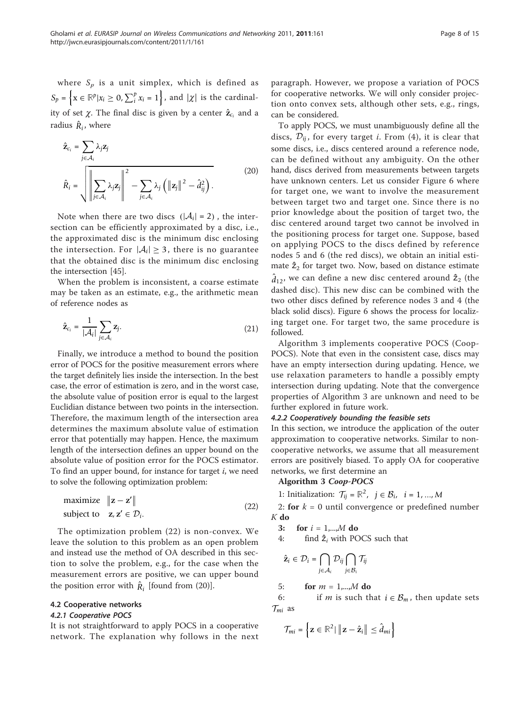where  $S_p$  is a unit simplex, which is defined as  $S_p = \left\{ \mathbf{x} \in \mathbb{R}^p | x_i \ge 0, \sum_i^p x_i = 1 \right\}$ , and  $|\chi|$  is the cardinality of set  $\chi$ . The final disc is given by a center  $\hat{\mathbf{z}}_{c_i}$  and a radius  $\hat{R}_i$ , where

$$
\hat{\mathbf{z}}_{c_i} = \sum_{j \in \mathcal{A}_i} \lambda_j \mathbf{z}_j
$$
\n
$$
\hat{R}_i = \sqrt{\left\| \sum_{j \in \mathcal{A}_i} \lambda_j \mathbf{z}_j \right\|^2 - \sum_{j \in \mathcal{A}_i} \lambda_j \left( \left\| \mathbf{z}_j \right\|^2 - \hat{d}_{ij}^2 \right)}.
$$
\n(20)

Note when there are two discs  $(|A_i| = 2)$ , the intersection can be efficiently approximated by a disc, i.e., the approximated disc is the minimum disc enclosing the intersection. For  $|A_i| \geq 3$ , there is no guarantee that the obtained disc is the minimum disc enclosing the intersection [[45\]](#page-14-0).

When the problem is inconsistent, a coarse estimate may be taken as an estimate, e.g., the arithmetic mean of reference nodes as

$$
\hat{\mathbf{z}}_{c_i} = \frac{1}{|\mathcal{A}_i|} \sum_{j \in \mathcal{A}_i} \mathbf{z}_j.
$$
 (21)

Finally, we introduce a method to bound the position error of POCS for the positive measurement errors where the target definitely lies inside the intersection. In the best case, the error of estimation is zero, and in the worst case, the absolute value of position error is equal to the largest Euclidian distance between two points in the intersection. Therefore, the maximum length of the intersection area determines the maximum absolute value of estimation error that potentially may happen. Hence, the maximum length of the intersection defines an upper bound on the absolute value of position error for the POCS estimator. To find an upper bound, for instance for target  $i$ , we need to solve the following optimization problem:

maximize 
$$
||\mathbf{z} - \mathbf{z}'||
$$
  
subject to  $\mathbf{z}, \mathbf{z}' \in \mathcal{D}_i$ . (22)

The optimization problem (22) is non-convex. We leave the solution to this problem as an open problem and instead use the method of OA described in this section to solve the problem, e.g., for the case when the measurement errors are positive, we can upper bound the position error with  $\hat{R}_i$  [found from (20)].

### 4.2 Cooperative networks

# 4.2.1 Cooperative POCS

It is not straightforward to apply POCS in a cooperative network. The explanation why follows in the next

paragraph. However, we propose a variation of POCS for cooperative networks. We will only consider projection onto convex sets, although other sets, e.g., rings, can be considered.

To apply POCS, we must unambiguously define all the discs,  $\mathcal{D}_{ij}$ , for every target *i*. From (4), it is clear that some discs, i.e., discs centered around a reference node, can be defined without any ambiguity. On the other hand, discs derived from measurements between targets have unknown centers. Let us consider Figure [6](#page-8-0) where for target one, we want to involve the measurement between target two and target one. Since there is no prior knowledge about the position of target two, the disc centered around target two cannot be involved in the positioning process for target one. Suppose, based on applying POCS to the discs defined by reference nodes 5 and 6 (the red discs), we obtain an initial estimate  $\hat{z}_2$  for target two. Now, based on distance estimate  $\hat{d}_{12}$ , we can define a new disc centered around  $\hat{\mathsf{z}}_2$  (the dashed disc). This new disc can be combined with the two other discs defined by reference nodes 3 and 4 (the black solid discs). Figure [6](#page-8-0) shows the process for localizing target one. For target two, the same procedure is followed.

Algorithm 3 implements cooperative POCS (Coop-POCS). Note that even in the consistent case, discs may have an empty intersection during updating. Hence, we use relaxation parameters to handle a possibly empty intersection during updating. Note that the convergence properties of Algorithm 3 are unknown and need to be further explored in future work.

#### 4.2.2 Cooperatively bounding the feasible sets

In this section, we introduce the application of the outer approximation to cooperative networks. Similar to noncooperative networks, we assume that all measurement errors are positively biased. To apply OA for cooperative networks, we first determine an

Algorithm 3 Coop-POCS

1: Initialization:  $\mathcal{T}_{ij} = \mathbb{R}^2$ ,  $j \in \mathcal{B}_i$ ,  $i = 1, ..., M$ 

2: for  $k = 0$  until convergence or predefined number  $K$  do

3: for 
$$
i = 1, ..., M
$$
 do

4: find  $\hat{z}$  with POCS such that

$$
\hat{\mathbf{z}}_i \in \mathcal{D}_i = \bigcap_{j \in \mathcal{A}_i} \mathcal{D}_{ij} \bigcap_{j \in \mathcal{B}_i} \mathcal{T}_{ij}
$$

5: for  $m = 1,...,M$  do

6: if *m* is such that  $i \in B_m$ , then update sets *Tmi* as

$$
\mathcal{T}_{mi} = \left\{ \mathbf{z} \in \mathbb{R}^2 \mid \left\| \mathbf{z} - \hat{\mathbf{z}}_i \right\| \leq \hat{d}_{mi} \right\}
$$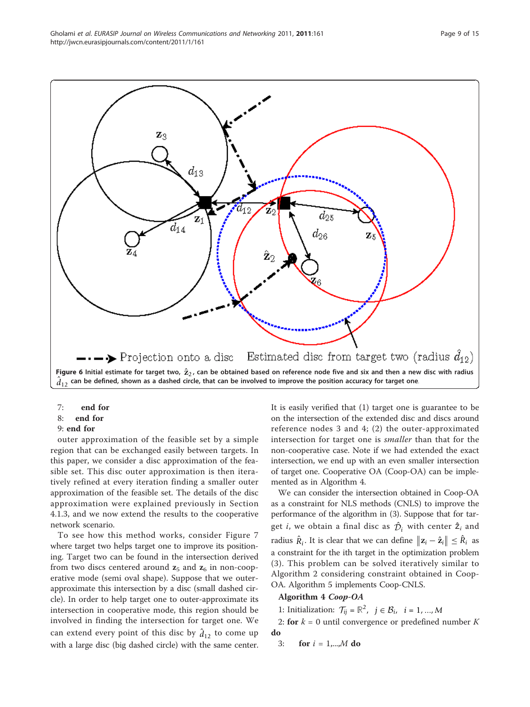<span id="page-8-0"></span>

### 7: end for

8: end for

#### 9: end for

outer approximation of the feasible set by a simple region that can be exchanged easily between targets. In this paper, we consider a disc approximation of the feasible set. This disc outer approximation is then iteratively refined at every iteration finding a smaller outer approximation of the feasible set. The details of the disc approximation were explained previously in Section 4.1.3, and we now extend the results to the cooperative network scenario.

To see how this method works, consider Figure [7](#page-9-0) where target two helps target one to improve its positioning. Target two can be found in the intersection derived from two discs centered around  $z_5$  and  $z_6$  in non-cooperative mode (semi oval shape). Suppose that we outerapproximate this intersection by a disc (small dashed circle). In order to help target one to outer-approximate its intersection in cooperative mode, this region should be involved in finding the intersection for target one. We can extend every point of this disc by  $\hat{d}_{12}$  to come up with a large disc (big dashed circle) with the same center. It is easily verified that (1) target one is guarantee to be on the intersection of the extended disc and discs around reference nodes 3 and 4; (2) the outer-approximated intersection for target one is *smaller* than that for the non-cooperative case. Note if we had extended the exact intersection, we end up with an even smaller intersection of target one. Cooperative OA (Coop-OA) can be implemented as in Algorithm 4.

We can consider the intersection obtained in Coop-OA as a constraint for NLS methods (CNLS) to improve the performance of the algorithm in (3). Suppose that for target *i*, we obtain a final disc as  $\hat{\mathcal{D}}_i$  with center  $\hat{\mathsf{z}}_i$  and radius  $\hat{R}_i$ . It is clear that we can define  $\|\mathbf{z}_i - \hat{\mathbf{z}}_i\| \leq \hat{R}_i$  as a constraint for the ith target in the optimization problem (3). This problem can be solved iteratively similar to Algorithm 2 considering constraint obtained in Coop-OA. Algorithm 5 implements Coop-CNLS.

# Algorithm 4 Coop-OA

1: Initialization:  $\mathcal{T}_{ij} = \mathbb{R}^2$ ,  $j \in \mathcal{B}_i$ ,  $i = 1, ..., M$ 

2: for  $k = 0$  until convergence or predefined number K do

3: for  $i = 1,...,M$  do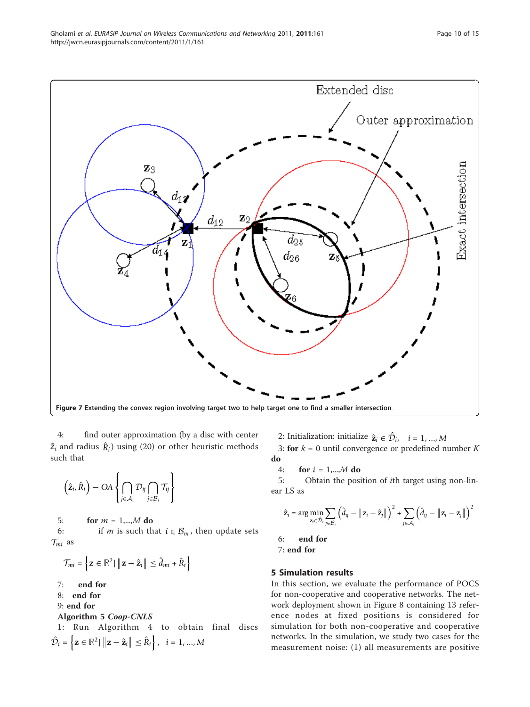<span id="page-9-0"></span>

4: find outer approximation (by a disc with center  $\hat{z}_i$  and radius  $\hat{R}_i$ ) using (20) or other heuristic methods such that

$$
\left(\hat{\mathbf{z}}_i, \hat{R}_i\right) - \mathrm{OA} \left\{\bigcap_{j \in \mathcal{A}_i} \mathcal{D}_{ij} \bigcap_{j \in \mathcal{B}_i} \mathcal{T}_{ij}\right\}
$$

5: for  $m = 1,...,M$  do

6: if *m* is such that  $i \in B_m$ , then update sets *Tmi* as

$$
\mathcal{T}_{mi} = \left\{ \mathbf{z} \in \mathbb{R}^2 \, | \, \|\mathbf{z} - \hat{\mathbf{z}}_i\| \leq \hat{d}_{mi} + \hat{R}_i \right\}
$$

- 7: end for
- 8: end for
- 9: end for

# Algorithm 5 Coop-CNLS

1: Run Algorithm 4 to obtain final discs  $\hat{\mathcal{D}}_i = \left\{ \mathbf{z} \in \mathbb{R}^2 \vert \ \|\mathbf{z} - \hat{\mathbf{z}}_i\| \leq \hat{R}_i \right\}, \ \ i = 1, ..., M$ 

2: Initialization: initialize  $\hat{\mathbf{z}}_i \in \hat{\mathcal{D}}_i$ ,  $i = 1, ..., M$ 

3: for  $k = 0$  until convergence or predefined number  $K$ do

4: for  $i = 1,...,M$  do

5: Obtain the position of ith target using non-linear LS as

$$
\hat{\mathbf{z}}_i = \arg\min_{\mathbf{z}_i \in \hat{\mathcal{D}}_i} \sum_{j \in \mathcal{B}_i} \left( \hat{d}_{ij} - \|\mathbf{z}_i - \hat{\mathbf{z}}_j\| \right)^2 + \sum_{j \in \mathcal{A}_i} \left( \hat{d}_{ij} - \|\mathbf{z}_i - \mathbf{z}_j\| \right)^2
$$

6: end for

7: end for

# 5 Simulation results

In this section, we evaluate the performance of POCS for non-cooperative and cooperative networks. The network deployment shown in Figure [8](#page-10-0) containing 13 reference nodes at fixed positions is considered for simulation for both non-cooperative and cooperative networks. In the simulation, we study two cases for the measurement noise: (1) all measurements are positive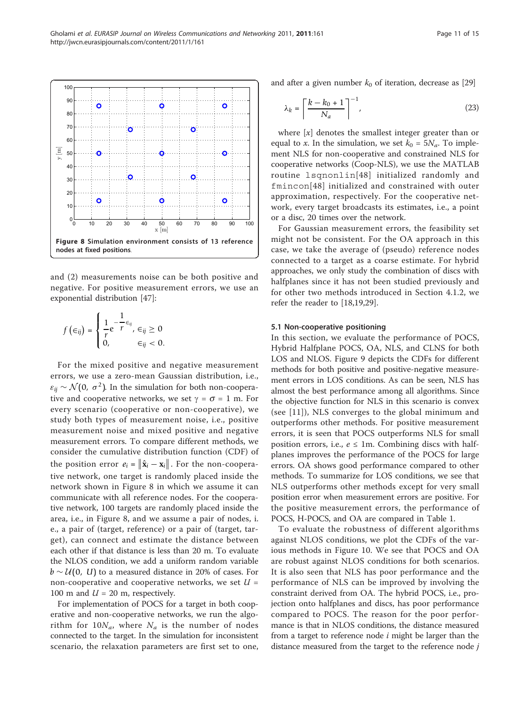<span id="page-10-0"></span>

and (2) measurements noise can be both positive and negative. For positive measurement errors, we use an exponential distribution [[47\]](#page-14-0):

$$
f\left(\epsilon_{ij}\right) = \begin{cases} \frac{1}{r} e^{-\frac{1}{r}\epsilon_{ij}} & \epsilon_{ij} \geq 0\\ 0 & \epsilon_{ij} < 0. \end{cases}
$$

For the mixed positive and negative measurement errors, we use a zero-mean Gaussian distribution, i.e.,  $\varepsilon_{ii} \sim \mathcal{N}(0, \sigma^2)$ . In the simulation for both non-cooperative and cooperative networks, we set  $\gamma = \sigma = 1$  m. For every scenario (cooperative or non-cooperative), we study both types of measurement noise, i.e., positive measurement noise and mixed positive and negative measurement errors. To compare different methods, we consider the cumulative distribution function (CDF) of the position error  $e_i = \|\hat{\mathbf{x}}_i - \mathbf{x}_i\|$ . For the non-cooperative network, one target is randomly placed inside the network shown in Figure 8 in which we assume it can communicate with all reference nodes. For the cooperative network, 100 targets are randomly placed inside the area, i.e., in Figure 8, and we assume a pair of nodes, i. e., a pair of (target, reference) or a pair of (target, target), can connect and estimate the distance between each other if that distance is less than 20 m. To evaluate the NLOS condition, we add a uniform random variable *b* ∼ *U*(0, *U*) to a measured distance in 20% of cases. For non-cooperative and cooperative networks, we set  $U =$ 100 m and  $U = 20$  m, respectively.

For implementation of POCS for a target in both cooperative and non-cooperative networks, we run the algorithm for  $10N_a$ , where  $N_a$  is the number of nodes connected to the target. In the simulation for inconsistent scenario, the relaxation parameters are first set to one, and after a given number  $k_0$  of iteration, decrease as [\[29\]](#page-13-0)

$$
\lambda_k = \left\lceil \frac{k - k_0 + 1}{N_a} \right\rceil^{-1},\tag{23}
$$

where  $[x]$  denotes the smallest integer greater than or equal to x. In the simulation, we set  $k_0 = 5N_a$ . To implement NLS for non-cooperative and constrained NLS for cooperative networks (Coop-NLS), we use the MATLAB routine lsqnonlin[[48](#page-14-0)] initialized randomly and fmincon[[48](#page-14-0)] initialized and constrained with outer approximation, respectively. For the cooperative network, every target broadcasts its estimates, i.e., a point or a disc, 20 times over the network.

For Gaussian measurement errors, the feasibility set might not be consistent. For the OA approach in this case, we take the average of (pseudo) reference nodes connected to a target as a coarse estimate. For hybrid approaches, we only study the combination of discs with halfplanes since it has not been studied previously and for other two methods introduced in Section 4.1.2, we refer the reader to [\[18,19,29](#page-13-0)].

#### 5.1 Non-cooperative positioning

In this section, we evaluate the performance of POCS, Hybrid Halfplane POCS, OA, NLS, and CLNS for both LOS and NLOS. Figure [9](#page-11-0) depicts the CDFs for different methods for both positive and positive-negative measurement errors in LOS conditions. As can be seen, NLS has almost the best performance among all algorithms. Since the objective function for NLS in this scenario is convex (see [\[11](#page-13-0)]), NLS converges to the global minimum and outperforms other methods. For positive measurement errors, it is seen that POCS outperforms NLS for small position errors, i.e.,  $e \leq 1$ m. Combining discs with halfplanes improves the performance of the POCS for large errors. OA shows good performance compared to other methods. To summarize for LOS conditions, we see that NLS outperforms other methods except for very small position error when measurement errors are positive. For the positive measurement errors, the performance of POCS, H-POCS, and OA are compared in Table [1.](#page-11-0)

To evaluate the robustness of different algorithms against NLOS conditions, we plot the CDFs of the various methods in Figure [10](#page-11-0). We see that POCS and OA are robust against NLOS conditions for both scenarios. It is also seen that NLS has poor performance and the performance of NLS can be improved by involving the constraint derived from OA. The hybrid POCS, i.e., projection onto halfplanes and discs, has poor performance compared to POCS. The reason for the poor performance is that in NLOS conditions, the distance measured from a target to reference node  $i$  might be larger than the distance measured from the target to the reference node  $j$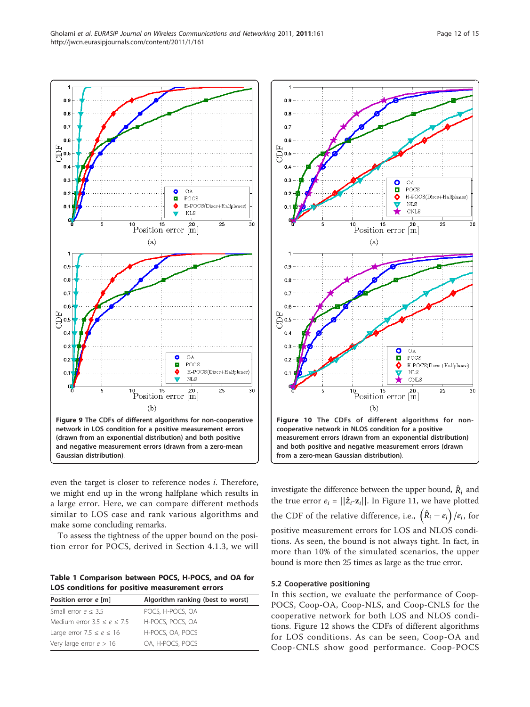<span id="page-11-0"></span>

even the target is closer to reference nodes i. Therefore, we might end up in the wrong halfplane which results in a large error. Here, we can compare different methods similar to LOS case and rank various algorithms and make some concluding remarks.

To assess the tightness of the upper bound on the position error for POCS, derived in Section 4.1.3, we will

Table 1 Comparison between POCS, H-POCS, and OA for LOS conditions for positive measurement errors

| Position error e [m]             | Algorithm ranking (best to worst) |
|----------------------------------|-----------------------------------|
| Small error $e \leq 3.5$         | POCS, H-POCS, OA                  |
| Medium error $3.5 \le e \le 7.5$ | H-POCS, POCS, OA                  |
| Large error $7.5 \le e \le 16$   | H-POCS, OA, POCS                  |
| Very large error $e > 16$        | OA, H-POCS, POCS                  |



investigate the difference between the upper bound,  $\hat{R}_i$  and the true error  $e_i = ||\hat{z}_i - \mathbf{z}_i||$ . In Figure [11](#page-12-0), we have plotted the CDF of the relative difference, i.e.,  $\left(\hat{R}_i - e_i\right) / e_i$ , for positive measurement errors for LOS and NLOS conditions. As seen, the bound is not always tight. In fact, in more than 10% of the simulated scenarios, the upper bound is more then 25 times as large as the true error.

### 5.2 Cooperative positioning

In this section, we evaluate the performance of Coop-POCS, Coop-OA, Coop-NLS, and Coop-CNLS for the cooperative network for both LOS and NLOS conditions. Figure [12](#page-12-0) shows the CDFs of different algorithms for LOS conditions. As can be seen, Coop-OA and Coop-CNLS show good performance. Coop-POCS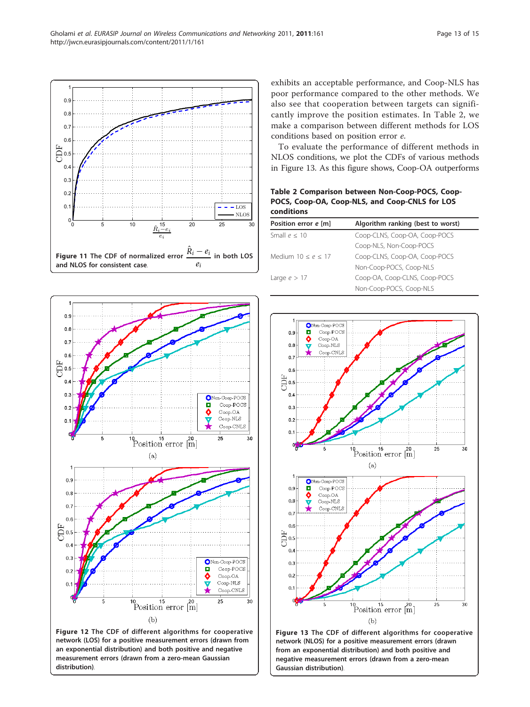<span id="page-12-0"></span>

exhibits an acceptable performance, and Coop-NLS has poor performance compared to the other methods. We also see that cooperation between targets can significantly improve the position estimates. In Table 2, we make a comparison between different methods for LOS conditions based on position error e.

To evaluate the performance of different methods in NLOS conditions, we plot the CDFs of various methods in Figure 13. As this figure shows, Coop-OA outperforms

Table 2 Comparison between Non-Coop-POCS, Coop-POCS, Coop-OA, Coop-NLS, and Coop-CNLS for LOS conditions

| Position error e [m]     | Algorithm ranking (best to worst) |
|--------------------------|-----------------------------------|
| Small $e < 10$           | Coop-CLNS, Coop-OA, Coop-POCS     |
|                          | Coop-NLS, Non-Coop-POCS           |
| Medium $10 \le e \le 17$ | Coop-CLNS, Coop-OA, Coop-POCS     |
|                          | Non-Coop-POCS, Coop-NLS           |
| Large $e > 17$           | Coop-OA, Coop-CLNS, Coop-POCS     |
|                          | Non-Coop-POCS, Coop-NLS           |



network (LOS) for a positive measurement errors (drawn from an exponential distribution) and both positive and negative measurement errors (drawn from a zero-mean Gaussian distribution).



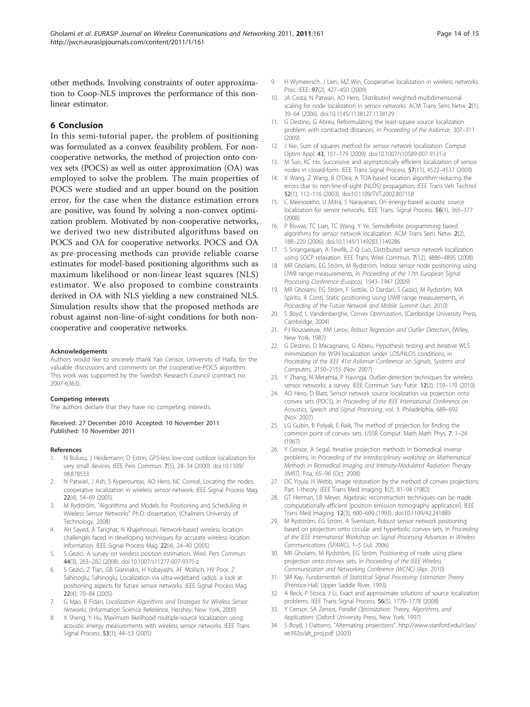<span id="page-13-0"></span>other methods. Involving constraints of outer approximation to Coop-NLS improves the performance of this nonlinear estimator.

# 6 Conclusion

In this semi-tutorial paper, the problem of positioning was formulated as a convex feasibility problem. For noncooperative networks, the method of projection onto convex sets (POCS) as well as outer approximation (OA) was employed to solve the problem. The main properties of POCS were studied and an upper bound on the position error, for the case when the distance estimation errors are positive, was found by solving a non-convex optimization problem. Motivated by non-cooperative networks, we derived two new distributed algorithms based on POCS and OA for cooperative networks. POCS and OA as pre-processing methods can provide reliable coarse estimates for model-based positioning algorithms such as maximum likelihood or non-linear least squares (NLS) estimator. We also proposed to combine constraints derived in OA with NLS yielding a new constrained NLS. Simulation results show that the proposed methods are robust against non-line-of-sight conditions for both noncooperative and cooperative networks.

#### Acknowledgements

Authors would like to sincerely thank Yair Censor, University of Haifa, for the valuable discussions and comments on the cooperative-POCS algorithm. This work was supported by the Swedish Research Council (contract no. 2007-6363).

#### Competing interests

The authors declare that they have no competing interests.

#### Received: 27 December 2010 Accepted: 10 November 2011 Published: 10 November 2011

#### References

- 1. N Bulusu, J Heidemann, D Estrin, GPS-less low-cost outdoor localization for very small devices. IEEE Pers Commun. 7(5), 28–34 (2000). doi:10.1109/ 98.878533
- 2. N Patwari, J Ash, S Kyperountas, AO Hero, NC Correal, Locating the nodes: cooperative localization in wireless sensor network. IEEE Signal Process Mag. 22(4), 54–69 (2005)
- 3. M Rydström, "Algorithms and Models for Positioning and Scheduling in Wireless Sensor Networks" Ph.D. dissertation, (Chalmers University of Technology, 2008)
- 4. AH Sayed, A Tarighat, N Khajehnouri, Network-based wireless location: challenges faced in developing techniques for accurate wireless location information. IEEE Signal Process Mag. 22(4), 24–40 (2005)
- 5. S Gezici, A survey on wireless position estimation. Wirel. Pers Commun. 44(3), 263–282 (2008). doi:10.1007/s11277-007-9375-z
- 6. S Gezici, Z Tian, GB Giannakis, H Kobayashi, AF Molisch, HV Poor, Z Sahinoglu, Sahinoglu, Localization via ultra-wideband radios: a look at positioning aspects for future sensor networks. IEEE Signal Process Mag. 22(4), 70–84 (2005)
- 7. G Mao, B Fidan, Localization Algorithms and Strategies for Wireless Sensor Networks, (Information Science Reference, Hershey, New York, 2009)
- 8. X Sheng, Y Hu, Maximum likelihood multiple-source localization using acoustic energy measurements with wireless sensor networks. IEEE Trans Signal Process. 53(1), 44–53 (2005)
- 9. H Wymeersch, J Lien, MZ Win, Cooperative localization in wireless networks. Proc. IEEE. 97(2), 427–450 (2009)
- 10. JA Costa, N Patwari, AO Hero, Distributed weighted-multidimensional scaling for node localization in sensor networks. ACM Trans Sens Netw. 2(1), 39–64 (2006). doi:10.1145/1138127.1138129
- 11. G Destino, G Abreu, Reformulating the least-square source localization problem with contracted distances, in Proceeding of the Asilomar, 307–311 (2009)
- 12. J Nie, Sum of squares method for sensor network localization. Comput Optim Appl. 43, 151–179 (2009). doi:10.1007/s10589-007-9131-z
- 13. M Sun, KC Ho, Successive and asymptotically efficient localization of sensor nodes in closed-form. IEEE Trans Signal Process. 57(11), 4522–4537 (2009)
- 14. X Wang, Z Wang, B O'Dea, A TOA-based location algorithm reducing the errors due to non-line-of-sight (NLOS) propagation. IEEE Trans Veh Technol. 52(1), 112–116 (2003). doi:10.1109/TVT.2002.807158
- 15. C Meesookho, U Mitra, S Narayanan, On energy-based acoustic source localization for sensor networks. IEEE Trans. Signal Process. 56(1), 365–377 (2008)
- 16. P Biswas, TC Lian, TC Wang, Y Ye, Semidefinite programming based algorithms for sensor network localization. ACM Trans Sens Netw. 2(2), 188–220 (2006). doi:10.1145/1149283.1149286
- 17. S Srirangarajan, A Tewfik, Z-Q Luo, Distributed sensor network localization using SOCP relaxation. IEEE Trans Wirel Commun. 7(12), 4886–4895 (2008)
- 18. MR Gholami, EG Ström, M Rydström, Indoor sensor node positioning using UWB range measurements, in Proceeding of the 17th European Signal Processing Conference (Eusipco), 1943–1947 (2009)
- 19. MR Gholami, EG Ström, F Sottile, D Dardari, S Gezici, M Rydström, MA Spirito, A Conti, Static positioning using UWB range measurements, in Proceeding of the Future Network and Mobile Summit (Jun. 2010)
- 20. S Boyd, L Vandenberghe, Convex Optimization, (Cambridge University Press, Cambridge, 2004)
- 21. PJ Rousseeuw, AM Leroy, Robust Regression and Outlier Detection, (Wiley, New York, 1987)
- 22. G Destino, D Macagnano, G Abreu, Hypothesis testing and iterative WLS minimization for WSN localization under LOS/NLOS conditions, in Proceeding of the IEEE 41st Asilomar Conference on Signals, Systems and Computers, 2150–2155 (Nov. 2007)
- 23. Y Zhang, N Meratnia, P Havinga, Outlier detection techniques for wireless sensor networks: a survey. IEEE Commun Surv Tutor. 12(2), 159-170 (2010)
- 24. AO Hero, D Blatt, Sensor network source localization via projection onto convex sets (POCS), in Proceeding of the IEEE International Conference on Acoustics, Speech and Signal Processing, vol. 3. Philadelphia, 689–692 (Nov. 2007)
- 25. LG Gubin, B Polyak, E Raik, The method of projection for finding the common point of convex sets. USSR Comput. Math Math Phys. 7, 1–24 (1967)
- 26. Y Censor, A Segal, Iterative projection methods in biomedical inverse problems, in Proceeding of the interdisciplinary workshop on Mathematical Methods in Biomedical Imaging and Intensity-Modulated Radiation Therapy (IMRT), Pisa, 65–96 (Oct. 2008)
- 27. DC Youla, H Webb, [Image restoration by the method of convex projections:](http://www.ncbi.nlm.nih.gov/pubmed/18238261?dopt=Abstract) [Part 1-theory.](http://www.ncbi.nlm.nih.gov/pubmed/18238261?dopt=Abstract) IEEE Trans Med Imaging 1(2), 81–94 (1982)
- 28. GT Herman, LB Meyer, [Algebraic reconstruction techniques can be made](http://www.ncbi.nlm.nih.gov/pubmed/18218454?dopt=Abstract) [computationally efficient \[positron emission tomography application\].](http://www.ncbi.nlm.nih.gov/pubmed/18218454?dopt=Abstract) IEEE Trans Med Imaging. 12(3), 600–609 (1993). doi:10.1109/42.241889
- 29. M Rydström, EG Ström, A Svensson, Robust sensor network positioning based on projection onto circular and hyperbolic convex sets, in Proceeding of the IEEE International Workshop on Signal Processing Advances in Wireless Communications (SPAWC), 1–5 (Jul. 2006)
- 30. MR Gholami, M Rydström, EG Ström, Positioning of node using plane projection onto convex sets, in Proceeding of the IEEE Wireless Communication and Networking Conference (WCNC) (Apr. 2010)
- 31. SM Kay, Fundamentals of Statistical Signal Processing: Estimation Theory (Prentice-Hall, Upper Saddle River, 1993)
- 32. A Beck, P Stoica, J Li, Exact and approximate solutions of source localization problems. IEEE Trans Signal Process. 56(5), 1770–1778 (2008)
- 33. Y Censor, SA Zenios, Parallel Optimization: Theory, Algorithms, and Applications (Oxford University Press, New York, 1997)
- 34. S Boyd, J Dattorro, "Alternating projections". [http://www.stanford.edu/class/](http://www.stanford.edu/class/ee392o/alt_proj.pdf) [ee392o/alt\\_proj.pdf](http://www.stanford.edu/class/ee392o/alt_proj.pdf) (2003)